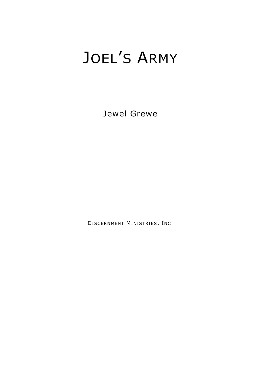# JOEL'S ARMY

Jewel Grewe

DISCERNMENT MINISTRIES, INC.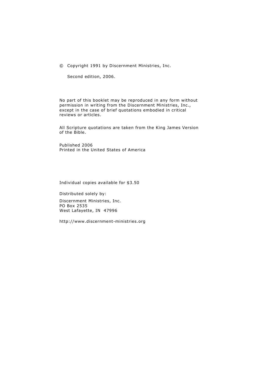© Copyright 1991 by Discernment Ministries, Inc.

Second edition, 2006.

No part of this booklet may be reproduced in any form without permission in writing from the Discernment Ministries, Inc., except in the case of brief quotations embodied in critical reviews or articles.

All Scripture quotations are taken from the King James Version of the Bible.

Published 2006 Printed in the United States of America

Individual copies available for \$3.50

Distributed solely by: Discernment Ministries, Inc. PO Box 2535 West Lafayette, IN 47996

http://www.discernment-ministries.org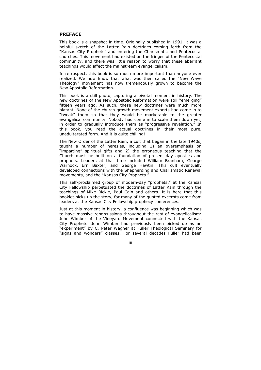#### **PREFACE**

This book is a snapshot in time. Originally published in 1991, it was a helpful sketch of the Latter Rain doctrines coming forth from the "Kansas City Prophets" and entering the Charismatic and Pentecostal churches. This movement had existed on the fringes of the Pentecostal community, and there was little reason to worry that these aberrant teachings would affect the mainstream evangelicalism.

In retrospect, this book is so much more important than anyone ever realized. We now know that what was then called the "New Wave Theology" movement has now tremendously grown to become the New Apostolic Reformation.

This book is a still photo, capturing a pivotal moment in history. The new doctrines of the New Apostolic Reformation were still "emerging" fifteen years ago. As such, these new doctrines were much more blatant. None of the church growth movement experts had come in to "tweak" them so that they would be marketable to the greater evangelical community. Nobody had come in to scale them down yet, in order to gradually introduce them as "progressive revelation." In this book, you read the actual doctrines in their most pure, unadulterated form. And it is quite chilling!

The New Order of the Latter Rain, a cult that began in the late 1940s, taught a number of heresies, including 1) an overemphasis on "imparting" spiritual gifts and 2) the erroneous teaching that the Church must be built on a foundation of present-day apostles and prophets. Leaders at that time included William Branham, George Warnock, Ern Baxter, and George Hawtin. This cult eventually developed connections with the Shepherding and Charismatic Renewal movements, and the "Kansas City Prophets."

This self-proclaimed group of modern-day "prophets," at the Kansas City Fellowship perpetuated the doctrines of Latter Rain through the teachings of Mike Bickle, Paul Cain and others. It is here that this booklet picks up the story, for many of the quoted excerpts come from leaders at the Kansas City Fellowship prophecy conferences.

Just at this moment in history, a confluence was beginning which was to have massive repercussions throughout the rest of evangelicalism: John Wimber of the Vineyard Movement connected with the Kansas City Prophets. John Wimber had previously been picked up as an "experiment" by C. Peter Wagner at Fuller Theological Seminary for "signs and wonders" classes. For several decades Fuller had been

#### iii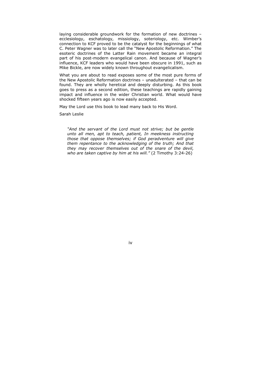laying considerable groundwork for the formation of new doctrines – ecclesiology, eschatology, missiology, soteriology, etc. Wimber's connection to KCF proved to be the catalyst for the beginnings of what C. Peter Wagner was to later call the "New Apostolic Reformation." The esoteric doctrines of the Latter Rain movement became an integral part of his post-modern evangelical canon. And because of Wagner's influence, KCF leaders who would have been obscure in 1991, such as Mike Bickle, are now widely known throughout evangelicalism.

What you are about to read exposes some of the most pure forms of the New Apostolic Reformation doctrines – unadulterated – that can be found. They are wholly heretical and deeply disturbing. As this book goes to press as a second edition, these teachings are rapidly gaining impact and influence in the wider Christian world. What would have shocked fifteen years ago is now easily accepted.

May the Lord use this book to lead many back to His Word.

Sarah Leslie

*"And the servant of the Lord must not strive; but be gentle unto all men, apt to teach, patient, In meekness instructing those that oppose themselves; if God peradventure will give them repentance to the acknowledging of the truth; And that they may recover themselves out of the snare of the devil, who are taken captive by him at his will."* (2 Timothy 3:24-26)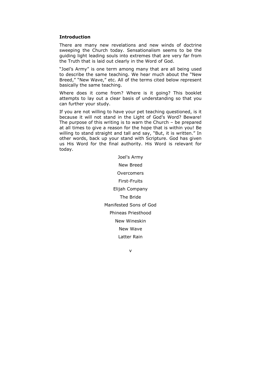#### **Introduction**

There are many new revelations and new winds of doctrine sweeping the Church today. Sensationalism seems to be the guiding light leading souls into extremes that are very far from the Truth that is laid out clearly in the Word of God.

"Joel's Army" is one term among many that are all being used to describe the same teaching. We hear much about the "New Breed," "New Wave," etc. All of the terms cited below represent basically the same teaching.

Where does it come from? Where is it going? This booklet attempts to lay out a clear basis of understanding so that you can further your study.

If you are not willing to have your pet teaching questioned, is it because it will not stand in the Light of God's Word? Beware! The purpose of this writing is to warn the Church – be prepared at all times to give a reason for the hope that is within you! Be willing to stand straight and tall and say, "But, it is written." In other words, back up your stand with Scripture. God has given us His Word for the final authority. His Word is relevant for today.

> Joel's Army New Breed **Overcomers** First-Fruits Elijah Company The Bride Manifested Sons of God Phineas Priesthood New Wineskin New Wave Latter Rain

> > v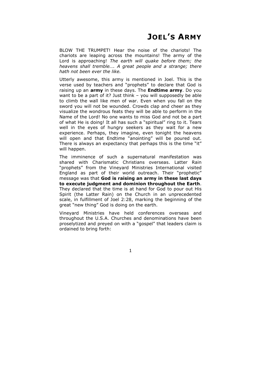BLOW THE TRUMPET! Hear the noise of the chariots! The chariots are leaping across the mountains! The army of the Lord is approaching! *The earth will quake before them; the heavens shall tremble…. A great people and a strange; there hath not been ever the like.*

Utterly awesome, this army is mentioned in Joel. This is the verse used by teachers and "prophets" to declare that God is raising up an **army** in these days. The **Endtime army**. Do you want to be a part of it? Just think – you will supposedly be able to climb the wall like men of war. Even when you fall on the sword you will not be wounded. Crowds clap and cheer as they visualize the wondrous feats they will be able to perform in the Name of the Lord! No one wants to miss God and not be a part of what He is doing! It all has such a "spiritual" ring to it. Tears well in the eyes of hungry seekers as they wait for a new experience. Perhaps, they imagine, even tonight the heavens will open and that Endtime "anointing" will be poured out. There is always an expectancy that perhaps this is the time "it" will happen.

The imminence of such a supernatural manifestation was shared with Charismatic Christians overseas. Latter Rain "prophets" from the Vineyard Ministries International visited England as part of their world outreach. Their "prophetic" message was that **God is raising an army in these last days to execute judgment and dominion throughout the Earth**. They declared that the time is at hand for God to pour out His Spirit (the Latter Rain) on the Church in an unprecedented scale, in fulfillment of Joel 2:28, marking the beginning of the great "new thing" God is doing on the earth.

Vineyard Ministries have held conferences overseas and throughout the U.S.A. Churches and denominations have been proselytized and preyed on with a "gospel" that leaders claim is ordained to bring forth: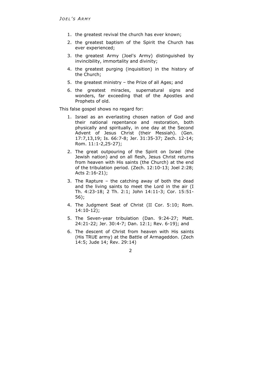- 1. the greatest revival the church has ever known;
- 2. the greatest baptism of the Spirit the Church has ever experienced;
- 3. the greatest Army (Joel's Army) distinguished by invincibility, immortality and divinity;
- 4. the greatest purging (inquisition) in the history of the Church;
- 5. the greatest ministry the Prize of all Ages; and
- 6. the greatest miracles, supernatural signs and wonders, far exceeding that of the Apostles and Prophets of old.

This false gospel shows no regard for:

- 1. Israel as an everlasting chosen nation of God and their national repentance and restoration, both physically and spiritually, in one day at the Second Advent of Jesus Christ (their Messiah). (Gen. 17:7,13,19; Is. 66:7-8; Jer. 31:35-37; Zech. 12-14; Rom. 11:1-2,25-27);
- 2. The great outpouring of the Spirit on Israel (the Jewish nation) and on all flesh, Jesus Christ returns from heaven with His saints (the Church) at the end of the tribulation period. (Zech. 12:10-13; Joel 2:28; Acts 2:16-21);
- 3. The Rapture the catching away of both the dead and the living saints to meet the Lord in the air (I Th. 4:23-18; 2 Th. 2:1; John 14:11-3; Cor. 15:51- 56);
- 4. The Judgment Seat of Christ (II Cor. 5:10; Rom. 14:10-12);
- 5. The Seven-year tribulation (Dan. 9:24-27; Matt. 24:21-22; Jer. 30:4-7; Dan. 12:1; Rev. 6-19); and
- 6. The descent of Christ from heaven with His saints (His TRUE army) at the Battle of Armageddon. (Zech 14:5; Jude 14; Rev. 29:14)

 $\overline{2}$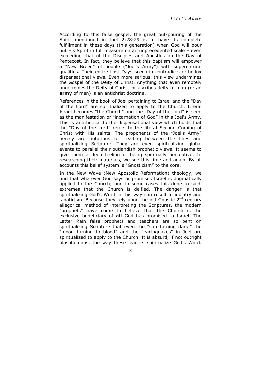According to this false gospel, the great out-pouring of the Spirit mentioned in Joel 2:28-29 is to have its complete fulfillment in these days (this generation) when God will pour out His Spirit in full measure on an unprecedented scale – even exceeding that of the Disciples and Apostles on the Day of Pentecost. In fact, they believe that this baptism will empower a "New Breed" of people ("Joel's Army") with supernatural qualities. Their entire Last Days scenario contradicts orthodox dispensational views. Even more serious, this view undermines the Gospel of the Deity of Christ. Anything that even remotely undermines the Deity of Christ, or ascribes deity to man (or an **army** of men) is an antichrist doctrine.

References in the book of Joel pertaining to Israel and the "Day of the Lord" are spiritualized to apply to the Church. Literal Israel becomes "the Church" and the "Day of the Lord" is seen as the manifestation or "incarnation of God" in this Joel's Army. This is antithetical to the dispensational view which holds that the "Day of the Lord" refers to the literal Second Coming of Christ with His saints. The proponents of the "Joel's Army" heresy are notorious for reading between the lines and spiritualizing Scripture. They are even spiritualizing global events to parallel their outlandish prophetic views. It seems to give them a deep feeling of being spiritually perceptive. In researching their materials, we see this time and again. By all accounts this belief system is "Gnosticism" to the core.

In the New Wave (New Apostolic Reformation) theology, we find that whatever God says or promises Israel is dogmatically applied to the Church; and in some cases this done to such extremes that the Church is deified. The danger is that spiritualizing God's Word in this way can result in idolatry and fanaticism. Because they rely upon the old Gnostic  $2^{nd}$ -century allegorical method of interpreting the Scriptures, the modern "prophets" have come to believe that the Church is the exclusive beneficiary of **all** God has promised to Israel. The Latter Rain false prophets and teachers are so bent on spiritualizing Scripture that even the "sun turning dark," the "moon turning to blood" and the "earthquakes" in Joel are spiritualized to apply to the Church. It is absurd, if not outright blasphemous, the way these leaders spiritualize God's Word.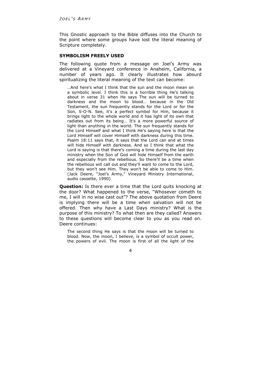This Gnostic approach to the Bible diffuses into the Church to the point where some groups have lost the literal meaning of Scripture completely.

#### **SYMBOLISM FREELY USED**

The following quote from a message on Joel's Army was delivered at a Vineyard conference in Anaheim, California, a number of years ago. It clearly illustrates how absurd spiritualizing the literal meaning of the text can become:

…And here's what I think that the sun and the moon mean on a symbolic level. I think this is a horrible thing He's talking about in verse 31 when He says The sun will be turned to darkness and the moon to blood… because in the Old Testament, the sun frequently stands for the Lord or for the Son, S-O-N. See, it's a perfect symbol for Him, because it brings light to the whole world and it has light of its own that radiates out from its being… It's a more powerful source of light than anything in the world. The sun frequently stands for the Lord Himself and what I think He's saying here is that the Lord Himself will cover Himself with darkness during this time. Psalm 18:11 says that, it says that the Lord can and at times will hide Himself with darkness. And so I think that what the Lord is saying is that there's coming a time during the last day ministry when the Son of God will hide Himself from the earth and especially from the rebellious. So there'll be a time when the rebellious will call out and they'll want to come to the Lord, but they won't see Him. They won't be able to come to Him. (Jack Deere, "Joel's Army," Vineyard Ministry International, audio cassette, 1990)

**Question:** Is there ever a time that the Lord quits knocking at the door? What happened to the verse, "Whosever cometh to me, I will in no wise cast out"? The above quotation from Deere is implying there will be a time when salvation will not be offered. Then why have a Last Days ministry? What is the purpose of this ministry? To what then are they called? Answers to these questions will become clear to you as you read on. Deere continues:

The second thing He says is that the moon will be turned to blood. Now, the moon, I believe, is a symbol of occult power, the powers of evil. The moon is first of all the light of the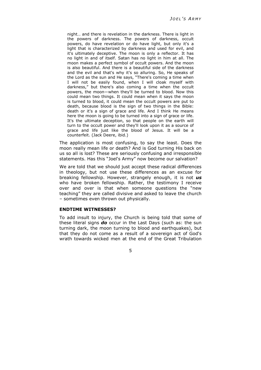night… and there is revelation in the darkness. There is light in the powers of darkness. The powers of darkness, occult powers, do have revelation or do have light, but only it's a light that is characterized by darkness and used for evil, and it's ultimately deceptive. The moon is only a reflector. It has no light in and of itself. Satan has no light in him at all. The moon makes a perfect symbol of occult powers. And the moon is also beautiful. And there is a beautiful side of the darkness and the evil and that's why it's so alluring. So, He speaks of the Lord as the sun and He says, "There's coming a time when I will not be easily found, when I will cloak myself with darkness," but there's also coming a time when the occult powers, the moon—when they'll be turned to blood. Now this could mean two things. It could mean when it says the moon is turned to blood, it could mean the occult powers are put to death, because blood is the sign of two things in the Bible: death or it's a sign of grace and life. And I think He means here the moon is going to be turned into a sign of grace or life. It's the ultimate deception, so that people on the earth will turn to the occult power and they'll look upon it as a source of grace and life just like the blood of Jesus. It will be a counterfeit. (Jack Deere, ibid.)

The application is most confusing, to say the least. Does the moon really mean life or death? And is God turning His back on us so all is lost? These are seriously confusing and irresponsible statements. Has this "Joel's Army" now become our salvation?

We are told that we should just accept these radical differences in theology, but not use these differences as an excuse for breaking fellowship. However, strangely enough, it is not *us* who have broken fellowship. Rather, the testimony I receive over and over is that when someone questions the "new teaching" they are called divisive and asked to leave the church – sometimes even thrown out physically.

## **ENDTIME WITNESSES?**

To add insult to injury, the Church is being told that some of these literal signs *do* occur in the Last Days (such as: the sun turning dark, the moon turning to blood and earthquakes), but that they do not come as a result of a sovereign act of God's wrath towards wicked men at the end of the Great Tribulation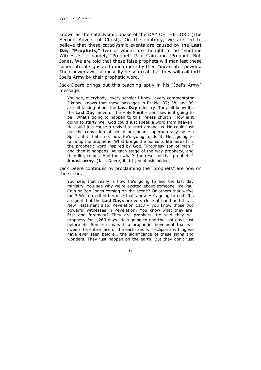known as the cataclysmic phase of the DAY OF THE LORD (The Second Advent of Christ). On the contrary, we are led to believe that these cataclysmic events are caused by the **Last Day "Prophets,"** two of whom are thought to be "Endtime Witnesses" – namely "Prophet" Paul Cain and "Prophet" Bob Jones. We are told that these false prophets will manifest these supernatural signs and much more by their "incarnate" powers. Their powers will supposedly be so great that they will call forth Joel's Army by their prophetic word.

Jack Deere brings out this teaching aptly in his "Joel's Army" message:

You see, everybody, every scholar I know, every commentator I know, knows that these passages in Ezekiel 37; 38, and 39 are all talking about the **Last Day** ministry. They all know it's the **Last Day** move of the Holy Spirit – and how is it going to be? What's going to happen to this lifeless church? How is it going to start? Well God could just speak a word from heaven. He could just cause a revival to start among us. He could just put the conviction of sin in our heart supernaturally by His Spirit. But that's not how He's going to do it. He's going to raise up the prophetic. What brings the bones to life here? It is the prophetic word inspired by God. "Prophesy son of man;" and then it happens. At each stage of the way prophecy, and then life, comes. And then what's the result of that prophetic? **A vast army**. (Jack Deere, ibid.) [emphasis added]

Jack Deere continues by proclaiming the "prophets" are now on the scene:

You see, that really is how He's going to end the last day ministry. You see why we're excited about someone like Paul Cain or Bob Jones coming on the scene? Or others that we've met? We're excited because that's how He's going to end. It's a signal that the **Last Days** are very close at hand and this is New Testament also. Revelation 11:3 – you know those two powerful witnesses in Revelation? You know what they are, first and foremost? They are prophets. He said they will prophesy for 1,260 days. He's going to end the last days just before His Son returns with a prophetic movement that will sweep the entire face of the earth and will eclipse anything we have ever seen before... the significance of these signs and wonders. They just happen on the earth. But they don't just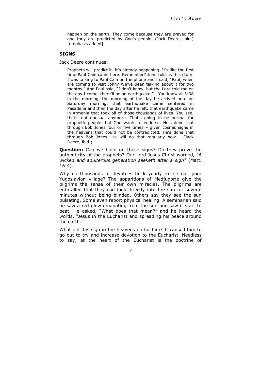happen on the earth. They come because they are prayed for and they are predicted by God's people. (Jack Deere, ibid.) [emphasis added]

#### **SIGNS**

Jack Deere continues:

Prophets will predict it. It's already happening. It's like the first time Paul Cain came here. Remember? John told us this story. I was talking to Paul Cain on the phone and I said, "Paul, when are coming to visit John? We've been talking about it for two months." And Paul said, "I don't know, but the Lord told me on the day I come, there'll be an earthquake." …You know at 3:38 in the morning, the morning of the day he arrived here on Saturday morning, that earthquake came centered in Pasadena and then the day after he left, that earthquake came in Armenia that took all of those thousands of lives. You see, that's not unusual anymore. That's going to be normal for prophetic people that God wants to endorse. He's done that through Bob Jones four or five times – given cosmic signs in the heavens that could not be contradicted. He's done that through Bob Jones. He will do that regularly now…. (Jack Deere, ibid.)

**Question:** Can we build on these signs? Do they prove the authenticity of the prophets? Our Lord Jesus Christ warned, *"A wicked and adulterous generation seeketh after a sign"* (Matt. 16:4).

Why do thousands of devotees flock yearly to a small poor Yugoslavian village? The apparitions of Medjugorje give the pilgrims the sense of their own miracles. The pilgrims are enthralled that they can look directly into the sun for several minutes without being blinded. Others say they see the sun pulsating. Some even report physical healing. A seminarian said he saw a red glow emanating from the sun and saw it start to beat. He asked, "What does that mean?" and he heard the words, "Jesus in the Eucharist and spreading his peace around the earth."

What did this sign in the heavens do for him? It caused him to go out to try and increase devotion to the Eucharist. Needless to say, at the heart of the Eucharist is the doctrine of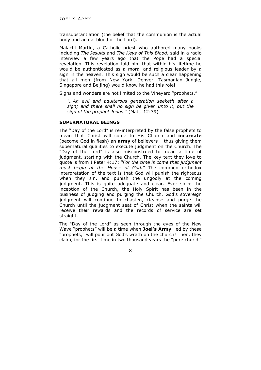transubstantiation (the belief that the communion is the actual body and actual blood of the Lord).

Malachi Martin, a Catholic priest who authored many books including *The Jesuits* and *The Keys of This Blood*, said in a radio interview a few years ago that the Pope had a special revelation. This revelation told him that within his lifetime he would be authenticated as a moral and religious leader by a sign in the heaven. This sign would be such a clear happening that all men (from New York, Denver, Tasmanian Jungle, Singapore and Beijing) would know he had this role!

Signs and wonders are not limited to the Vineyard "prophets."

*"…An evil and adulterous generation seeketh after a sign; and there shall no sign be given unto it, but the sign of the prophet Jonas."* (Matt. 12:39)

# **SUPERNATURAL BEINGS**

The "Day of the Lord" is re-interpreted by the false prophets to mean that Christ will come to His Church and **incarnate**  (become God in flesh) an **army** of believers – thus giving them supernatural qualities to execute judgment on the Church. The "Day of the Lord" is also misconstrued to mean a time of judgment, starting with the Church. The key text they love to quote is from I Peter 4:17: *"For the time is come that judgment must begin at the House of God."* The common orthodox interpretation of the text is that God will punish the righteous when they sin, and punish the ungodly at the coming judgment. This is quite adequate and clear. Ever since the inception of the Church, the Holy Spirit has been in the business of judging and purging the Church. God's sovereign judgment will continue to chasten, cleanse and purge the Church until the judgment seat of Christ when the saints will receive their rewards and the records of service are set straight.

The "Day of the Lord" as seen through the eyes of the New Wave "prophets" will be a time when **Joel's Army**, led by these "prophets," will pour out God's wrath on the church! Then, they claim, for the first time in two thousand years the "pure church"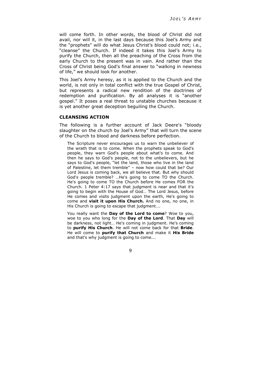will come forth. In other words, the blood of Christ did not avail, nor will it, in the last days because this Joel's Army and the "prophets" will do what Jesus Christ's blood could not; i.e., "cleanse" the Church. If indeed it takes this Joel's Army to purify the Church, then all the preaching of the Cross from the early Church to the present was in vain. And rather than the Cross of Christ being God's final answer to "walking in newness of life," we should look for another.

This Joel's Army heresy, as it is applied to the Church and the world, is not only in total conflict with the true Gospel of Christ, but represents a radical new rendition of the doctrines of redemption and purification. By all analyses it is "another gospel." It poses a real threat to unstable churches because it is yet another great deception beguiling the Church.

#### **CLEANSING ACTION**

The following is a further account of Jack Deere's "bloody slaughter on the church by Joel's Army" that will turn the scene of the Church to blood and darkness before perfection.

The Scripture never encourages us to warn the unbeliever of the wrath that is to come. When the prophets speak to God's people, they warn God's people about what's to come. And then he says to God's people, not to the unbelievers, but he says to God's people, "let the land, those who live in the land of Palestine, let them tremble" – now how could that be? Our Lord Jesus is coming back, we all believe that. But why should God's people tremble? …He's going to come TO the Church. He's going to come TO the Church before He comes FOR the Church. 1 Peter 4:17 says that judgment is near and that it's going to begin with the House of God… The Lord Jesus, before He comes and visits judgment upon the earth, He's going to come and **visit it upon His Church.** And no one, no one, in His Church is going to escape that judgment….

You really want the **Day of the Lord to come**? Woe to you, woe to you who long for the **Day of the Lord**. That **Day** will be darkness, not light… He's coming in judgment. He's coming to **purify His Church**. He will not come back for that **Bride**. He will come to **purify that Church** and make it **His Bride** and that's why judgment is going to come….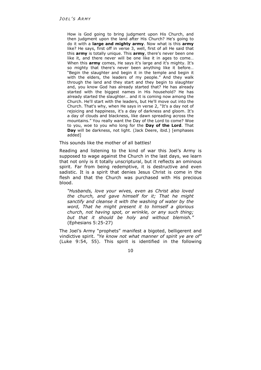How is God going to bring judgment upon His Church, and then judgment upon the land after His Church? He's going to do it with a **large and mighty army**. Now what is this **army** like? He says, first off in verse 3, well, first of all He said that this **army** is totally unique. This **army**, there's never been one like it, and there never will be one like it in ages to come… When this **army** comes, He says it's large and it's mighty. It's so mighty that there's never been anything like it before… "Begin the slaughter and begin it in the temple and begin it with the elders, the leaders of my people." And they walk through the land and they start and they begin to slaughter and, you know God has already started that? He has already started with the biggest names in His household? He has already started the slaughter… and it is coming now among the Church. He'll start with the leaders, but He'll move out into the Church. That's why, when He says in verse 2, "It's a day not of rejoicing and happiness, it's a day of darkness and gloom. It's a day of clouds and blackness, like dawn spreading across the mountains." You really want the Day of the Lord to come? Woe to you, woe to you who long for the **Day of the Lord**. That **Day** will be darkness, not light. (Jack Deere, ibid.) [emphases added]

#### This sounds like the mother of all battles!

Reading and listening to the kind of war this Joel's Army is supposed to wage against the Church in the last days, we learn that not only is it totally unscriptural, but it reflects an ominous spirit. Far from being redemptive, it is destructive and even sadistic. It is a spirit that denies Jesus Christ is come in the flesh and that the Church was purchased with His precious blood.

*"Husbands, love your wives, even as Christ also loved the church, and gave himself for it; That he might sanctify and cleanse it with the washing of water by the word, That he might present it to himself a glorious church, not having spot, or wrinkle, or any such thing; but that it should be holy and without blemish."* (Ephesians 5:25-27)

The Joel's Army "prophets" manifest a bigoted, belligerent and vindictive spirit. *"Ye know not what manner of spirit ye are of"* (Luke 9:54, 55). This spirit is identified in the following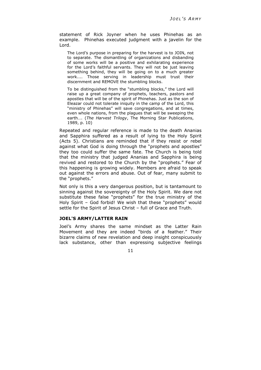statement of Rick Joyner when he uses Phinehas as an example. Phinehas executed judgment with a javelin for the Lord.

The Lord's purpose in preparing for the harvest is to JOIN, not to separate. The dismantling of organizations and disbanding of some works will be a positive and exhilarating experience for the Lord's faithful servants. They will not be just leaving something behind, they will be going on to a much greater work.... Those serving in leadership must trust their discernment and REMOVE the stumbling blocks.

To be distinguished from the "stumbling blocks," the Lord will raise up a great company of prophets, teachers, pastors and apostles that will be of the spirit of Phinehas. Just as the son of Eleazar could not tolerate iniquity in the camp of the Lord, this "ministry of Phinehas" will save congregations, and at times, even whole nations, from the plagues that will be sweeping the earth…. (*The Harvest Trilogy*, The Morning Star Publications, 1989, p. 10)

Repeated and regular reference is made to the death Ananias and Sapphira suffered as a result of lying to the Holy Spirit (Acts 5). Christians are reminded that if they resist or rebel against what God is doing through the "prophets and apostles" they too could suffer the same fate. The Church is being told that the ministry that judged Ananias and Sapphira is being revived and restored to the Church by the "prophets." Fear of this happening is growing widely. Members are afraid to speak out against the errors and abuse. Out of fear, many submit to the "prophets."

Not only is this a very dangerous position, but is tantamount to sinning against the sovereignty of the Holy Spirit. We dare not substitute these false "prophets" for the true ministry of the Holy Spirit – God forbid! We wish that these "prophets" would settle for the Spirit of Jesus Christ – full of Grace and Truth.

# **JOEL'S ARMY/LATTER RAIN**

Joel's Army shares the same mindset as the Latter Rain Movement and they are indeed "birds of a feather." Their bizarre claims of new revelation and deep insight conspicuously lack substance, other than expressing subjective feelings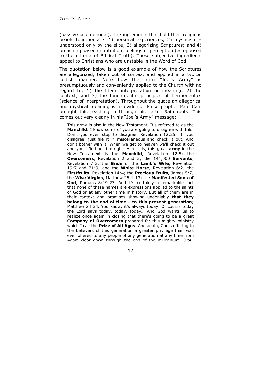(passive or emotional). The ingredients that hold their religious beliefs together are: 1) personal experiences; 2) mysticism – understood only by the elite; 3) allegorizing Scriptures; and 4) preaching based on intuition, feelings or perception (as opposed to the criteria of Biblical Truth). These subjective ingredients appeal to Christians who are unstable in the Word of God.

The quotation below is a good example of how the Scriptures are allegorized, taken out of context and applied in a typical cultish manner. Note how the term "Joel's Army" is presumptuously and conveniently applied to the Church with no regard to: 1) the literal interpretation or meaning; 2) the context; and 3) the fundamental principles of hermeneutics (science of interpretation). Throughout the quote an allegorical and mystical meaning is in evidence. False prophet Paul Cain brought this teaching in through his Latter Rain roots. This comes out very clearly in his "Joel's Army" message:

This army is also in the New Testament. It's referred to as the **Manchild**. I know some of you are going to disagree with this. Don't you even stop to disagree. Revelation 12:25… If you disagree, just file it in miscellaneous and check it out. And don't bother with it. When we get to heaven we'll check it out and you'll find out I'm right. Here it is, this great **army** in the New Testament is the **Manchild**, Revelation 12:5; the **Overcomers**, Revelation 2 and 3; the 144,000 **Servants**, Revelation 7:3; the **Bride** or the **Lamb's Wife**, Revelation 19:7 and 21:9; and the **White Horse**, Revelation 6:2; the **Firstfruits**, Revelation 14:4; the **Precious Fruits,** James 5:7; the **Wise Virgins**, Matthew 25:1-13; the **Manifested Sons of God**, Romans 8:19-23. And it's certainly a remarkable fact that none of these names are expressions applied to the saints of God or at any other time in history. But all of them are in their context and promises showing undeniably **that they belong to the end of time… to this present generation**; Matthew 24:34. You know, it's always today. Of course today the Lord says today, today, today… And God wants us to realize once again in closing that there's going to be a great **Company of Overcomers** prepared for this mighty ministry which I call the **Prize of All Ages**. And again, God's offering to the believers of this generation a greater privilege than was ever offered to any people of any generation at any time from Adam clear down through the end of the millennium. (Paul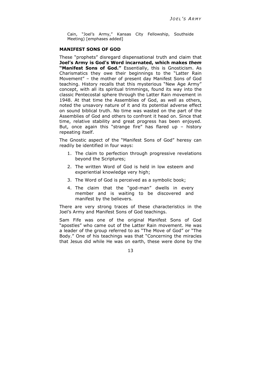Cain, "Joel's Army," Kansas City Fellowship, Southside Meeting) [emphases added]

#### **MANIFEST SONS OF GOD**

These "prophets" disregard dispensational truth and claim that **Joel's Army is God's Word incarnated, which makes** *them* **"Manifest Sons of God."** Essentially, this is Gnosticism. As Charismatics they owe their beginnings to the "Latter Rain Movement" – the mother of present day Manifest Sons of God teaching. History recalls that this mysterious "New Age Army" concept, with all its spiritual trimmings, found its way into the classic Pentecostal sphere through the Latter Rain movement in 1948. At that time the Assemblies of God, as well as others, noted the unsavory nature of it and its potential adverse effect on sound biblical truth. No time was wasted on the part of the Assemblies of God and others to confront it head on. Since that time, relative stability and great progress has been enjoyed. But, once again this "strange fire" has flared up – history repeating itself.

The Gnostic aspect of the "Manifest Sons of God" heresy can readily be identified in four ways:

- 1. The claim to perfection through progressive revelations beyond the Scriptures;
- 2. The written Word of God is held in low esteem and experiential knowledge very high;
- 3. The Word of God is perceived as a symbolic book;
- 4. The claim that the "god-man" dwells in every member and is waiting to be discovered and manifest by the believers.

There are very strong traces of these characteristics in the Joel's Army and Manifest Sons of God teachings.

Sam Fife was one of the original Manifest Sons of God "apostles" who came out of the Latter Rain movement. He was a leader of the group referred to as "The Move of God" or "The Body." One of his teachings was that "Concerning the miracles that Jesus did while He was on earth, these were done by the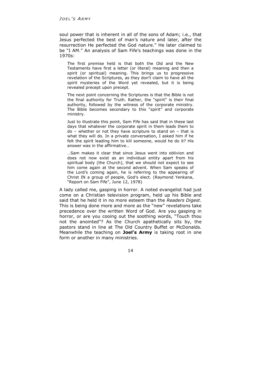soul power that is inherent in all of the sons of Adam; i.e., that Jesus perfected the best of man's nature and later, after the resurrection He perfected the God nature." He later claimed to be "I AM." An analysis of Sam Fife's teachings was done in the 1970s:

The first premise held is that both the Old and the New Testaments have first a letter (or literal) meaning and then a spirit (or spiritual) meaning. This brings us to progressive revelation of the Scriptures, as they don't claim to have all the spirit mysteries of the Word yet revealed, but it is being revealed precept upon precept.

The next point concerning the Scriptures is that the Bible is not the final authority for Truth. Rather, the "spirit" is their final authority, followed by the witness of the corporate ministry. The Bible becomes secondary to this "spirit" and corporate ministry.

Just to illustrate this point, Sam Fife has said that in these last days that whatever the corporate spirit in them leads them to do – whether or not they have scripture to stand on – that is what they will do. In a private conversation, I asked him if he felt the spirit leading him to kill someone, would he do it? His answer was in the affirmative…

…Sam makes it clear that since Jesus went into oblivion and does not now exist as an individual entity apart from his spiritual body (the Church), that we should not expect to see him come again at the second advent. When Sam speaks of the Lord's coming again, he is referring to the appearing of Christ IN a group of people, God's elect. (Raymond Yenkana, "Report on Sam Fife", June 12, 1978)

A lady called me, gasping in horror. A noted evangelist had just come on a Christian television program, held up his Bible and said that he held it in no more esteem than the *Readers Digest*. This is being done more and more as the "new" revelations take precedence over the written Word of God. Are you gasping in horror, or are you cooing out the soothing words, "Touch thou not the anointed"? As the Church apathetically sits by, the pastors stand in line at The Old Country Buffet or McDonalds. Meanwhile the teaching on **Joel's Army** is taking root in one form or another in many ministries.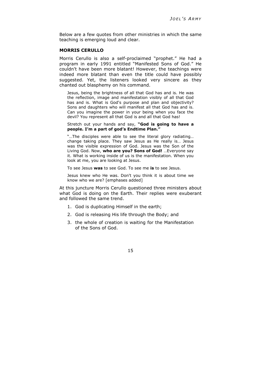Below are a few quotes from other ministries in which the same teaching is emerging loud and clear.

## **MORRIS CERULLO**

Morris Cerullo is also a self-proclaimed "prophet." He had a program in early 1991 entitled "Manifested Sons of God." He couldn't have been more blatant! However, the teachings were indeed more blatant than even the title could have possibly suggested. Yet, the listeners looked very sincere as they chanted out blasphemy on his command.

Jesus, being the brightness of all that God has and is. He was the reflection, image and manifestation visibly of all that God has and is. What is God's purpose and plan and objectivity? Sons and daughters who will manifest all that God has and is. Can you imagine the power in your being when you face the devil? You represent all that God is and all that God has!

#### Stretch out your hands and say, **"God is going to have a people. I'm a part of god's Endtime Plan."**

"…The disciples were able to see the literal glory radiating… change taking place. They saw Jesus as He really is… Jesus was the visible expression of God. Jesus was the Son of the Living God. Now, **who are you? Sons of God!** …Everyone say it. What is working inside of us is the manifestation. When you look at me, you are looking at Jesus.

To see Jesus **was** to see God. To see me **is** to see Jesus.

Jesus knew who He was. Don't you think it is about time we know who we are? [emphases added]

At this juncture Morris Cerullo questioned three ministers about what God is doing on the Earth. Their replies were exuberant and followed the same trend.

- 1. God is duplicating Himself in the earth;
- 2. God is releasing His life through the Body; and
- 3. the whole of creation is waiting for the Manifestation of the Sons of God.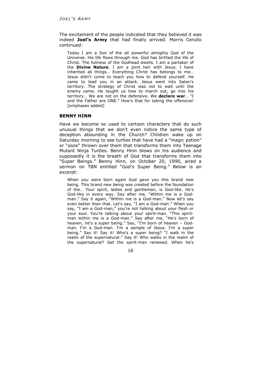The excitement of the people indicated that they believed it was indeed **Joel's Army** that had finally arrived. Morris Cerullo continued:

Today I am a Son of the all powerful almighty God of the Universe. His life flows through me. God has birthed the life of Christ. The fullness of the Godhead dwells. I am a partaker of the **Divine Nature**. I am a joint heir with Jesus. I have inherited all things… Everything Christ has belongs to me… Jesus didn't come to teach you how to defend yourself. He came to lead you in an attack. Jesus went into Satan's territory. The strategy of Christ was not to wait until the enemy came. He taught us how to march out, go into his territory… We are not on the defensive. We **declare war**… "I and the Father are ONE." How's that for taking the offensive! [emphases added]

#### **BENNY HINN**

Have we become so used to cartoon characters that do such unusual things that we don't even notice the same type of deception abounding in the Church? Children wake up on Saturday morning to see turtles that have had a "magic potion" or "ooze" thrown over them that transforms them into Teenage Mutant Ninja Turtles. Benny Hinn blows on his audience and supposedly it is the breath of God that transforms them into "Super Beings." Benny Hinn, on October 20, 1990, aired a sermon on TBN entitled "God's Super Being." Below is an excerpt:

When you were born again God gave you this brand new being. This brand new being was created before the foundation of the… Your spirit, ladies and gentleman, is God-like. He's God-like in every way. Say after me, "Within me is a Godman." Say it again, "Within me is a God-man." Now let's say even better than that. Let's say, "I am a God-man." When you say, "I am a God-man," you're not talking about your flesh or your soul. You're talking about your spirit-man. "This spiritman within me is a God-man." Say after me, "He's born of heaven, he's a super being." Say, "I'm born of heaven – Godman. I'm a God-man. I'm a sample of Jesus. I'm a super being." Say it! Say it! Who's a super being? "I walk in the realm of the supernatural." Say it! Who walks in the realm of the supernatural? Get the spirit-man renewed. When he's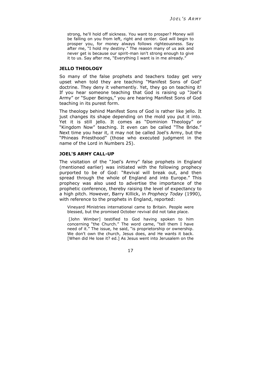strong, he'll hold off sickness. You want to prosper? Money will be falling on you from left, right and center. God will begin to prosper you, for money always follows righteousness. Say after me, "I hold my destiny." The reason many of us ask and never get is because our spirit-man isn't strong enough to give it to us. Say after me, "Everything I want is in me already."

#### **JELLO THEOLOGY**

So many of the false prophets and teachers today get very upset when told they are teaching "Manifest Sons of God" doctrine. They deny it vehemently. Yet, they go on teaching it! If you hear someone teaching that God is raising up "Joel's Army" or "Super Beings," you are hearing Manifest Sons of God teaching in its purest form.

The theology behind Manifest Sons of God is rather like jello. It just changes its shape depending on the mold you put it into. Yet it is still jello. It comes as "Dominion Theology" or "Kingdom Now" teaching. It even can be called "The Bride." Next time you hear it, it may not be called Joel's Army, but the "Phineas Priesthood" (those who executed judgment in the name of the Lord in Numbers 25).

# **JOEL'S ARMY CALL-UP**

The visitation of the "Joel's Army" false prophets in England (mentioned earlier) was initiated with the following prophecy purported to be of God: "Revival will break out, and then spread through the whole of England and into Europe." This prophecy was also used to advertise the importance of the prophetic conference, thereby raising the level of expectancy to a high pitch. However, Barry Killick, in *Prophecy Today* (1990), with reference to the prophets in England, reported:

Vineyard Ministries international came to Britain. People were blessed, but the promised October revival did not take place.

[John Wimber] testified to God having spoken to him concerning "the Church." The word came, "tell them I have need of it." The issue, he said, "is proprietorship or ownership. We don't own the church, Jesus does, and He wants it back. [When did He lose it? ed.] As Jesus went into Jerusalem on the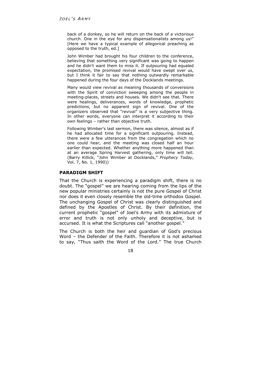back of a donkey, so he will return on the back of a victorious church. One in the eye for any dispensationalists among us!" [Here we have a typical example of allegorical preaching as opposed to the truth, ed.]

John Wimber had brought his four children to the conference, believing that something very significant was going to happen and he didn't want them to miss it. If outpouring had equaled expectation, the promised revival would have swept over us, but I think it fair to say that nothing outwardly remarkable happened during the four days of the Docklands meetings.

Many would view revival as meaning thousands of conversions with the Spirit of conviction sweeping among the people in meeting-places, streets and houses. We didn't see that. There were healings, deliverances, words of knowledge, prophetic predictions, but no apparent sign of revival. One of the organizers observed that "revival" is a very subjective thing. In other words, everyone can interpret it according to their own feelings – rather than objective truth.

Following Wimber's last sermon, there was silence, almost as if he had allocated time for a significant outpouring. Instead, there were a few utterances from the congregation which no one could hear, and the meeting was closed half an hour earlier than expected. Whether anything more happened than at an average Spring Harvest gathering, only time will tell. (Barry Killick, "John Wimber at Docklands," *Prophecy Today*, Vol. 7, No. 1, 1990))

## **PARADIGM SHIFT**

That the Church is experiencing a paradigm shift, there is no doubt. The "gospel" we are hearing coming from the lips of the new popular ministries certainly is not the pure Gospel of Christ nor does it even closely resemble the old-time orthodox Gospel. The unchanging Gospel of Christ was clearly distinguished and defined by the Apostles of Christ. By their definition, the current prophetic "gospel" of Joel's Army with its admixture of error and truth is not only unholy and deceptive, but is accursed. It is what the Scriptures call "another gospel."

The Church is both the heir and guardian of God's precious Word – the Defender of the Faith. Therefore it is not ashamed to say, "Thus saith the Word of the Lord." The true Church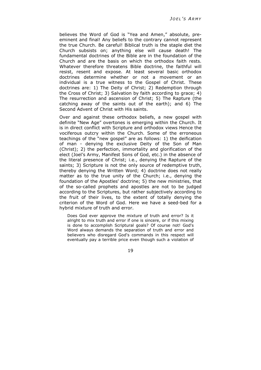believes the Word of God is "Yea and Amen," absolute, preeminent and final! Any beliefs to the contrary cannot represent the true Church. Be careful! Biblical truth is the staple diet the Church subsists on; anything else will cause death! The fundamental doctrines of the Bible are in the foundation of the Church and are the basis on which the orthodox faith rests. Whatever therefore threatens Bible doctrine, the faithful will resist, resent and expose. At least several basic orthodox doctrines determine whether or not a movement or an individual is a true witness to the Gospel of Christ. These doctrines are: 1) The Deity of Christ; 2) Redemption through the Cross of Christ; 3) Salvation by faith according to grace; 4) The resurrection and ascension of Christ; 5) The Rapture (the catching away of the saints out of the earth); and 6) The Second Advent of Christ with His saints.

Over and against these orthodox beliefs, a new gospel with definite "New Age" overtones is emerging within the Church. It is in direct conflict with Scripture and orthodox views Hence the vociferous outcry within the Church. Some of the erroneous teachings of the "new gospel" are as follows: 1) the deification of man - denying the exclusive Deity of the Son of Man (Christ); 2) the perfection, immortality and glorification of the elect (Joel's Army, Manifest Sons of God, etc.) in the absence of the literal presence of Christ; i.e., denying the Rapture of the saints; 3) Scripture is not the only source of redemptive truth, thereby denying the Written Word; 4) doctrine does not really matter as to the true unity of the Church; i.e., denying the foundation of the Apostles' doctrine; 5) the new ministries, that of the so-called prophets and apostles are not to be judged according to the Scriptures, but rather subjectively according to the fruit of their lives, to the extent of totally denying the criterion of the Word of God. Here we have a seed-bed for a hybrid mixture of truth and error.

Does God ever approve the mixture of truth and error? Is it alright to mix truth and error if one is sincere, or if this mixing is done to accomplish Scriptural goals? Of course not! God's Word always demands the separation of truth and error and believers who disregard God's commands in this respect will eventually pay a terrible price even though such a violation of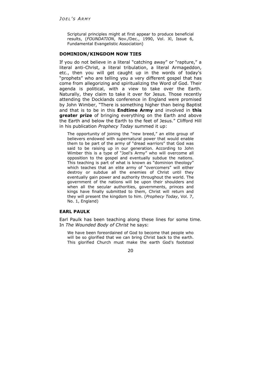Scriptural principles might at first appear to produce beneficial results, (*FOUNDATION*, Nov./Dec., 1990, Vol. Xl, Issue 6, Fundamental Evangelistic Association)

#### **DOMINION/KINGDOM NOW TIES**

If you do not believe in a literal "catching away" or "rapture," a literal anti-Christ, a literal tribulation, a literal Armageddon, etc., then you will get caught up in the words of today's "prophets" who are telling you a very different gospel that has come from allegorizing and spiritualizing the Word of God. Their agenda is political, with a view to take over the Earth. Naturally, they claim to take it over for Jesus. Those recently attending the Docklands conference in England were promised by John Wimber, "There is something higher than being Baptist and that is to be in this **Endtime Army** and involved in **this greater prize** of bringing everything on the Earth and above the Earth and below the Earth to the feet of Jesus." Clifford Hill in his publication *Prophecy Today* summed it up:

The opportunity of joining the "new breed," an elite group of believers endowed with supernatural power that would enable them to be part of the army of "dread warriors" that God was said to be raising up in our generation. According to John Wimber this is a type of "Joel's Army" who will overcome all opposition to the gospel and eventually subdue the nations. This teaching is part of what is known as "dominion theology" which teaches that an elite army of "overcomers" will either destroy or subdue all the enemies of Christ until they eventually gain power and authority throughout the world. The government of the nations will be upon their shoulders and when all the secular authorities, governments, princes and kings have finally submitted to them, Christ will return and they will present the kingdom to him. (*Prophecy Today*, Vol. 7, No. 1, England)

# **EARL PAULK**

Earl Paulk has been teaching along these lines for some time. In *The Wounded Body of Christ* he says:

We have been foreordained of God to become that people who will be so glorified that we can bring Christ back to the earth. This glorified Church must make the earth God's footstool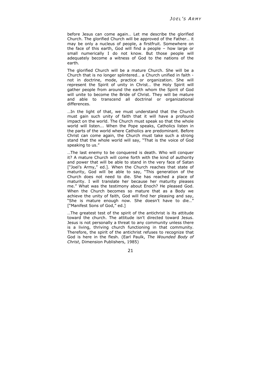before Jesus can come again… Let me describe the glorified Church. The glorified Church will be approved of the Father… it may be only a nucleus of people, a firstfruit. Somewhere on the face of this earth, God will find a people – how large or small numerically I do not know. But those people will adequately become a witness of God to the nations of the earth.

The glorified Church will be a mature Church. She will be a Church that is no longer splintered… a Church unified in faith not in doctrine, mode, practice or organization. She will represent the Spirit of unity in Christ… the Holy Spirit will gather people from around the earth whom the Spirit of God will unite to become the Bride of Christ. They will be mature and able to transcend all doctrinal or organizational differences.

…In the light of that, we must understand that the Church must gain such unity of faith that it will have a profound impact on the world. The Church must speak so that the whole world will listen... When the Pope speaks, Catholics listen in the parts of the world where Catholics are predominant. Before Christ can come again, the Church must take such a strong stand that the whole world will say, "That is the voice of God speaking to us."

…The last enemy to be conquered is death. Who will conquer it? A mature Church will come forth with the kind of authority and power that will be able to stand in the very face of Satan ["Joel's Army," ed.]. When the Church reaches that state of maturity, God will be able to say, "This generation of the Church does not need to die. She has reached a place of maturity. I will translate her because her maturity pleases me." What was the testimony about Enoch? He pleased God. When the Church becomes so mature that as a Body we achieve the unity of faith, God will find her pleasing and say, "She is mature enough now. She doesn't have to die…" ["Manifest Sons of God," ed.]

…The greatest test of the spirit of the antichrist is its attitude toward the church. The attitude isn't directed toward Jesus. Jesus is not personally a threat to any community unless there is a living, thriving church functioning in that community. Therefore, the spirit of the antichrist refuses to recognize that God is here in the flesh. (Earl Paulk, *The Wounded Body of Christ*, Dimension Publishers, 1985)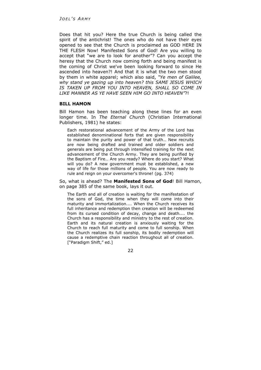Does that hit you? Here the true Church is being called the spirit of the antichrist! The ones who do not have their eyes opened to see that the Church is proclaimed as GOD HERE IN THE FLESH Now! Manifested Sons of God! Are you willing to accept that "we are to look for another"? Can you accept the heresy that the Church now coming forth and being manifest is the coming of Christ we've been looking forward to since He ascended into heaven?! And that it is what the two men stood by them in white apparel; which also said, *"Ye men of Galilee, why stand ye gazing up into heaven? this SAME JESUS WHICH IS TAKEN UP FROM YOU INTO HEAVEN, SHALL SO COME IN LIKE MANNER AS YE HAVE SEEN HIM GO INTO HEAVEN"*?!

## **BILL HAMON**

Bill Hamon has been teaching along these lines for an even longer time. In *The Eternal Church* (Christian International Publishers, 1981) he states:

Each restorational advancement of the Army of the Lord has established denominational forts that are given responsibility to maintain the purity and power of that truth… New recruits are now being drafted and trained and older soldiers and generals are being put through intensified training for the next advancement of the Church Army. They are being purified by the Baptism of Fire… Are you ready? Where do you start? What will you do? A new government must be established, a new way of life for those millions of people. You are now ready to rule and reign on your overcomer's throne! (pg. 374)

So, what is ahead? The **Manifested Sons of God**! Bill Hamon, on page 385 of the same book, lays it out.

The Earth and all of creation is waiting for the manifestation of the sons of God, the time when they will come into their maturity and immortalization.... When the Church receives its full inheritance and redemption then creation will be redeemed from its cursed condition of decay, change and death.... the Church has a responsibility and ministry to the rest of creation. Earth and its natural creation is anxiously waiting for the Church to reach full maturity and come to full sonship. When the Church realizes its full sonship, its bodily redemption will cause a redemptive chain reaction throughout all of creation. ["Paradigm Shift," ed.]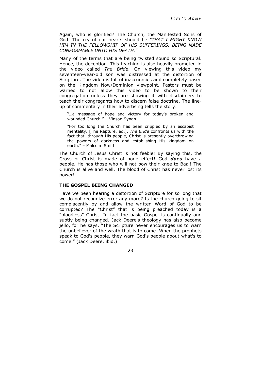Again, who is glorified? The Church, the Manifested Sons of God! The cry of our hearts should be *"THAT I MIGHT KNOW HIM IN THE FELLOWSHIP OF HIS SUFFERINGS, BEING MADE CONFORMABLE UNTO HIS DEATH."*

Many of the terms that are being twisted sound so Scriptural. Hence, the deception. This teaching is also heavily promoted in the video called *The Bride*. On viewing this video my seventeen-year-old son was distressed at the distortion of Scripture. The video is full of inaccuracies and completely based on the Kingdom Now/Dominion viewpoint. Pastors must be warned to not allow this video to be shown to their congregation unless they are showing it with disclaimers to teach their congregants how to discern false doctrine. The lineup of commentary in their advertising tells the story:

"…a message of hope and victory for today's broken and wounded Church." – Vinson Synan

"For too long the Church has been crippled by an escapist mentality. [The Rapture, ed.]. *The Bride* confronts us with the fact that, through His people, Christ is presently overthrowing the powers of darkness and establishing His kingdom on earth." – Malcolm Smith

The Church of Jesus Christ is not feeble! By saying this, the Cross of Christ is made of none effect! God *does* have a people. He has those who will not bow their knee to Baal! The Church is alive and well. The blood of Christ has never lost its power!

## **THE GOSPEL BEING CHANGED**

Have we been hearing a distortion of Scripture for so long that we do not recognize error any more? Is the church going to sit complacently by and allow the written Word of God to be corrupted? The "Christ" that is being preached today is a "bloodless" Christ. In fact the basic Gospel is continually and subtly being changed. Jack Deere's theology has also become jello, for he says, "The Scripture never encourages us to warn the unbeliever of the wrath that is to come. When the prophets speak to God's people, they warn God's people about what's to come." (Jack Deere, ibid.)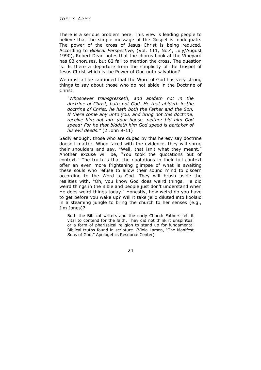There is a serious problem here. This view is leading people to believe that the simple message of the Gospel is inadequate. The power of the cross of Jesus Christ is being reduced. According to *Biblical Perspective*, (Vol. 111, No.4, July/August 1990), Robert Dean notes that the chorus book at the Vineyard has 83 choruses, but 82 fail to mention the cross. The question is: Is there a departure from the simplicity of the Gospel of Jesus Christ which is the Power of God unto salvation?

We must all be cautioned that the Word of God has very strong things to say about those who do not abide in the Doctrine of Christ.

*"Whosoever transgresseth, and abideth not in the doctrine of Christ, hath not God. He that abideth in the doctrine of Christ, he hath both the Father and the Son. If there come any unto you, and bring not this doctrine, receive him not into your house, neither bid him God speed: For he that biddeth him God speed is partaker of his evil deeds."* (2 John 9-11)

Sadly enough, those who are duped by this heresy say doctrine doesn't matter. When faced with the evidence, they will shrug their shoulders and say, "Well, that isn't what they meant." Another excuse will be, "You took the quotations out of context." The truth is that the quotations in their full context offer an even more frightening glimpse of what is awaiting these souls who refuse to allow their sound mind to discern according to the Word to God. They will brush aside the realities with, "Oh, you know God does weird things. He did weird things in the Bible and people just don't understand when He does weird things today." Honestly, how weird do you have to get before you wake up? Will it take jello diluted into koolaid in a steaming jungle to bring the church to her senses (e.g., Jim Jones)?

Both the Biblical writers and the early Church Fathers felt it vital to contend for the faith. They did not think it unspiritual or a form of pharisaical religion to stand up for fundamental Biblical truths found in scripture. (Viola Larsen, "The Manifest Sons of God," Apologetics Resource Center)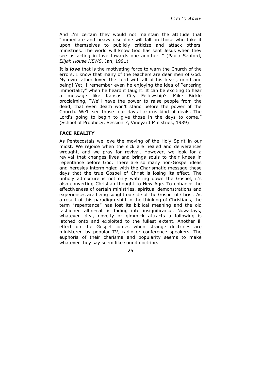And I'm certain they would not maintain the attitude that "immediate and heavy discipline will fall on those who take it upon themselves to publicly criticize and attack others' ministries. The world will know God has sent Jesus when they see us acting in love towards one another…" (Paula Sanford, *Elijah House NEWS*, Jan, 1991)

It is *love* that is the motivating force to warn the Church of the errors. I know that many of the teachers are dear men of God. My own father loved the Lord with all of his heart, mind and being! Yet, I remember even he enjoying the idea of "entering immortality" when he heard it taught. It can be exciting to hear a message like Kansas City Fellowship's Mike Bickle proclaiming, "We'll have the power to raise people from the dead, that even death won't stand before the power of the Church. We'll see those four days Lazarus kind of deals. The Lord's going to begin to give those in the days to come." (School of Prophecy, Session 7, Vineyard Ministries, 1989)

## **FACE REALITY**

As Pentecostals we love the moving of the Holy Spirit in our midst. We rejoice when the sick are healed and deliverances wrought, and we pray for revival. However, we look for a revival that changes lives and brings souls to their knees in repentance before God. There are so many non-Gospel ideas and heresies intermingled with the Charismatic message these days that the true Gospel of Christ is losing its effect. The unholy admixture is not only watering down the Gospel, it's also converting Christian thought to New Age. To enhance the effectiveness of certain ministries, spiritual demonstrations and experiences are being sought outside of the Gospel of Christ. As a result of this paradigm shift in the thinking of Christians, the term "repentance" has lost its biblical meaning and the old fashioned altar-call is fading into insignificance. Nowadays, whatever idea, novelty or gimmick attracts a following is latched onto and exploited to the fullest extent. Another ill effect on the Gospel comes when strange doctrines are ministered by popular TV, radio or conference speakers. The euphoria of their charisma and popularity seems to make whatever they say seem like sound doctrine.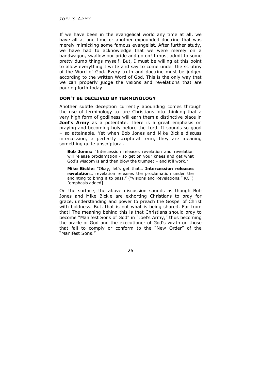If we have been in the evangelical world any time at all, we have all at one time or another expounded doctrine that was merely mimicking some famous evangelist. After further study, we have had to acknowledge that we were merely on a bandwagon, swallow our pride and go on! I must admit to some pretty dumb things myself. But, I must be willing at this point to allow everything I write and say to come under the scrutiny of the Word of God. Every truth and doctrine must be judged according to the written Word of God. This is the only way that we can properly judge the visions and revelations that are pouring forth today.

# **DON'T BE DECEIVED BY TERMINOLOGY**

Another subtle deception currently abounding comes through the use of terminology to lure Christians into thinking that a very high form of godliness will earn them a distinctive place in **Joel's Army** as a potentate. There is a great emphasis on praying and becoming holy before the Lord. It sounds so good – so attainable. Yet when Bob Jones and Mike Bickle discuss intercession, a perfectly scriptural term, they are meaning something quite unscriptural.

**Bob Jones:** "Intercession releases revelation and revelation will release proclamation - so get on your knees and get what God's wisdom is and then blow the trumpet – and it'll work."

**Mike Bickle:** "Okay, let's get that… **Intercession releases revelation**… revelation releases the proclamation under the anointing to bring it to pass." ("Visions and Revelations," KCF) [emphasis added]

On the surface, the above discussion sounds as though Bob Jones and Mike Bickle are exhorting Christians to pray for grace, understanding and power to preach the Gospel of Christ with boldness. But, that is not what is being shared. Far from that! The meaning behind this is that Christians should pray to become "Manifest Sons of God" in "Joel's Army," thus becoming the oracle of God and the executioner of God's wrath on those that fail to comply or conform to the "New Order" of the "Manifest Sons."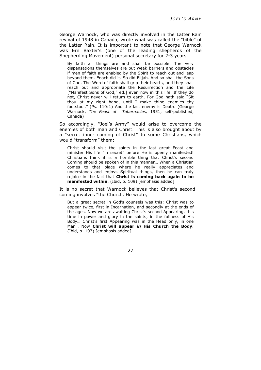George Warnock, who was directly involved in the Latter Rain revival of 1948 in Canada, wrote what was called the "bible" of the Latter Rain. It is important to note that George Warnock was Ern Baxter's (one of the leading shepherds of the Shepherding Movement) personal secretary for 2-3 years.

By faith all things are and shall be possible. The very dispensations themselves are but weak barriers and obstacles if men of faith are enabled by the Spirit to reach out and leap beyond them. Enoch did it. So did Elijah. And so shall the Sons of God. The Word of faith shall grip their hearts, and they shall reach out and appropriate the Resurrection and the Life ["Manifest Sons of God," ed.] even now in this life. If they do not, Christ never will return to earth. For God hath said "Sit thou at my right hand, until I make thine enemies thy footstool." (Ps. 110:1) And the last enemy is Death. (George Warnock, *The Feast of Tabernacles,* 1951, self-published, Canada)

So accordingly, "Joel's Army" would arise to overcome the enemies of both man and Christ. This is also brought about by a "secret inner coming of Christ" to some Christians, which would "transform" them:

Christ should visit the saints in the last great Feast and minister His life "in secret" before He is openly manifested! Christians think it is a horrible thing that Christ's second Coming should be spoken of in this manner… When a Christian comes to that place where he really appreciates and understands and enjoys Spiritual things, then he can truly rejoice in the fact that **Christ is coming back again to be manifested within**. (Ibid, p. 109) [emphasis added]

It is no secret that Warnock believes that Christ's second coming involves "the Church. He wrote,

But a great secret in God's counsels was this: Christ was to appear twice, first in Incarnation, and secondly at the ends of the ages. Now we are awaiting Christ's second Appearing, this time in power and glory in the saints, in the fullness of His Body… Christ's first Appearing was in the Head only, in one Man… Now **Christ will appear** *in* **His Church the Body**. (Ibid, p. 107) [emphasis added]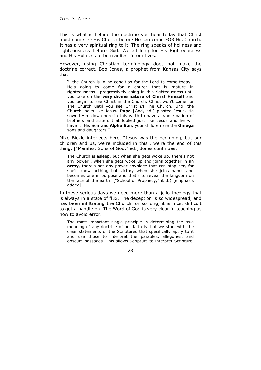This is what is behind the doctrine you hear today that Christ must come TO His Church before He can come FOR His Church. It has a very spiritual ring to it. The ring speaks of holiness and righteousness before God. We all long for His Righteousness and His Holiness to be manifest in our lives.

However, using Christian terminology does not make the doctrine correct. Bob Jones, a prophet from Kansas City says that

"…the Church is in no condition for the Lord to come today… He's going to come for a church that is mature in righteousness… progressively going in this righteousness until you take on the **very divine nature of Christ Himself** and you begin to see Christ in the Church. Christ won't come for The Church until you see Christ *in* The Church. Until the Church looks like Jesus. **Papa** [God, ed.] planted Jesus, He sowed Him down here in this earth to have a whole nation of brothers and sisters that looked just like Jesus and he will have it. His Son was **Alpha Son**, your children are the **Omega** sons and daughters."

Mike Bickle interjects here, "Jesus was the beginning, but our children and us, we're included in this… we're the end of this thing. ["Manifest Sons of God," ed.] Jones continues:

The Church is asleep, but when she gets woke up, there's not any power… when she gets woke up and joins together in an **army**, there's not any power anyplace that can stop her, for she'll know nothing but victory when she joins hands and becomes one in purpose and that's to reveal the kingdom on the face of the earth. ("School of Prophecy," ibid.) [emphasis added]

In these serious days we need more than a jello theology that is always in a state of flux. The deception is so widespread, and has been infiltrating the Church for so long, it is most difficult to get a handle on. The Word of God is very clear in teaching us how to avoid error.

The most important single principle in determining the true meaning of any doctrine of our faith is that we start with the clear statements of the Scriptures that specifically apply to it and use those to interpret the parables, allegories, and obscure passages. This allows Scripture to interpret Scripture.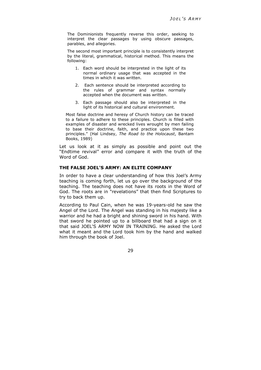The Dominionists frequently reverse this order, seeking to interpret the clear passages by using obscure passages, parables, and allegories.

The second most important principle is to consistently interpret by the literal, grammatical, historical method. This means the following:

- 1. Each word should be interpreted in the light of its normal ordinary usage that was accepted in the times in which it was written.
- 2. Each sentence should be interpreted according to the rules of grammar and syntax normally accepted when the document was written.
- 3. Each passage should also be interpreted in the light of its historical and cultural environment.

Most false doctrine and heresy of Church history can be traced to a failure to adhere to these principles. Church is filled with examples of disaster and wrecked lives wrought by men failing to base their doctrine, faith, and practice upon these two principles." (Hal Lindsey, *The Road to the Holocaust*, Bantam Books, 1989)

Let us look at it as simply as possible and point out the "Endtime revival" error and compare it with the truth of the Word of God.

# **THE FALSE JOEL'S ARMY: AN ELITE COMPANY**

In order to have a clear understanding of how this Joel's Army teaching is coming forth, let us go over the background of the teaching. The teaching does not have its roots in the Word of God. The roots are in "revelations" that then find Scriptures to try to back them up.

According to Paul Cain, when he was 19-years-old he saw the Angel of the Lord. The Angel was standing in his majesty like a warrior and he had a bright and shining sword in his hand. With that sword he pointed up to a billboard that had a sign on it that said JOEL'S ARMY NOW IN TRAINING. He asked the Lord what it meant and the Lord took him by the hand and walked him through the book of Joel.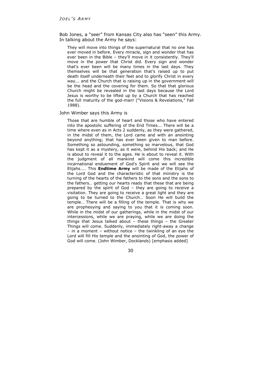Bob Jones, a "seer" from Kansas City also has "seen" this Army. In talking about the Army he says:

They will move into things of the supernatural that no one has ever moved in before. Every miracle, sign and wonder that has ever been in the Bible – they'll move in it consistently. They'll move in the power that Christ did. Every sign and wonder that's ever been will be many times in the last days. They themselves will be that generation that's raised up to put death itself underneath their feet and to glorify Christ in every way... and the Church that is raising up in the government will be the head and the covering for them. So that that glorious Church might be revealed in the last days because the Lord Jesus is worthy to be lifted up by a Church that has reached the full maturity of the god-man! ("Visions & Revelations," Fall 1988).

# John Wimber says this Army is

Those that are humble of heart and those who have entered into the apostolic suffering of the End Times... There will be a time where even as in Acts 2 suddenly, as they were gathered, in the midst of them, the Lord came and with an anointing beyond anything; that has ever been given to man before. Something so astounding, something so marvelous, that God has kept it as a mystery, as it were, behind His back; and He is about to reveal it to the ages. He is about to reveal it. With the judgment of all mankind will come this incredible incarnational enduement of God's Spirit and we will see the Elijahs.... This **Endtime Army** will be made of the Elijahs of the Lord God and the characteristic of that ministry is the turning of the hearts of the fathers to the sons and the sons to the fathers… getting our hearts ready that these that are being prepared by the spirit of God – they are going to receive a visitation. They are going to receive a great light and they are going to be turned to the Church… Soon He will build the temple… There will be a filling of the temple. That is why we are prophesying and saying to you that it is coming soon. While in the midst of our gatherings, while in the midst of our intercessions, while we are praying, while we are doing the things that Jesus talked about – these things – the Greater Things will come. Suddenly, immediately right-away a change – in a moment – without notice – the twinkling of an eye the Lord will fill His temple and the anointing of God, the power of God will come. (John Wimber, Docklands) [emphasis added]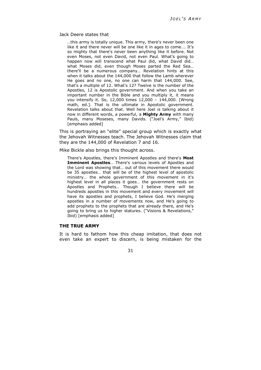#### Jack Deere states that

…this army is totally unique. This army, there's never been one like it and there never will be one like it in ages to come…. It's so mighty that there's never been anything like it before. Not even Moses, not even David, not even Paul. What's going to happen now will transcend what Paul did, what David did… what Moses did, even though Moses parted the Red Sea… there'll be a numerous company… Revelation hints at this when it talks about the 144,000 that follow the Lamb wherever He goes and no one, no one can harm that 144,000. See, that's a multiple of 12. What's 12? Twelve is the number of the Apostles, 12 is Apostolic government. And when you take an important number in the Bible and you multiply it, it means you intensify it. So, 12,000 times 12,000 – 144,000. [Wrong math, ed.]. That is the ultimate in Apostolic government. Revelation talks about that. Well here Joel is talking about it now in different words, a powerful, a **Mighty Army** with many Pauls, many Moseses, many Davids. ("Joel's Army," Ibid) [emphasis added]

This is portraying an "elite" special group which is exactly what the Jehovah Witnesses teach. The Jehovah Witnesses claim that they are the 144,000 of Revelation 7 and 16.

Mike Bickle also brings this thought across.

There's Apostles, there's Imminent Apostles and there's **Most Imminent Apostles**… There's various levels of Apostles and the Lord was showing that… out of this movement there would be 35 apostles… that will be of the highest level of apostolic ministry… the whole government of this movement in it's highest level in all places it goes… the government rests on Apostles and Prophets… Though I believe there will be hundreds apostles in this movement and every movement will have its apostles and prophets, I believe God. He's merging apostles in a number of movements now, and He's going to add prophets to the prophets that are already there, and He's going to bring us to higher statures. ("Visions & Revelations," Ibid) [emphasis added]

## **THE TRUE ARMY**

It is hard to fathom how this cheap imitation, that does not even take an expert to discern, is being mistaken for the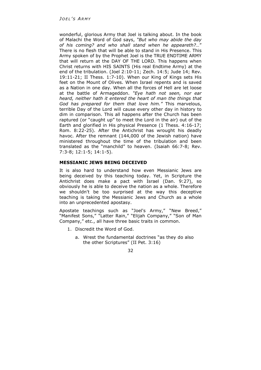wonderful, glorious Army that Joel is talking about. In the book of Malachi the Word of God says, *"But who may abide the day of his coming? and who shall stand when he appeareth?…*" There is no flesh that will be able to stand in His Presence. This Army spoken of by the Prophet Joel is the TRUE ENDTIME ARMY that will return at the DAY OF THE LORD. This happens when Christ returns with HIS SAINTS (His real Endtime Army) at the end of the tribulation. (Joel 2:10-11; Zech. 14:5; Jude 14; Rev. 19:11-21; II Thess. 1:7-10). When our King of Kings sets His feet on the Mount of Olives. When Israel repents and is saved as a Nation in one day. When all the forces of Hell are let loose at the battle of Armageddon. *"Eye hath not seen, nor ear heard, neither hath it entered the heart of man the things that God has prepared for them that love him."* This marvelous, terrible Day of the Lord will cause every other day in history to dim in comparison. This all happens after the Church has been raptured (or "caught up" to meet the Lord in the air) out of the Earth and glorified in His physical Presence (1 Thess. 4:16-17; Rom. 8:22-25). After the Antichrist has wrought his deadly havoc. After the remnant (144,000 of the Jewish nation) have ministered throughout the time of the tribulation and been translated as the "manchild" to heaven. (Isaiah 66:7-8; Rev. 7:3-8; 12:1-5; 14:1-5).

# **MESSIANIC JEWS BEING DECEIVED**

It is also hard to understand how even Messianic Jews are being deceived by this teaching today. Yet, in Scripture the Antichrist does make a pact with Israel (Dan. 9:27), so obviously he is able to deceive the nation as a whole. Therefore we shouldn't be too surprised at the way this deceptive teaching is taking the Messianic Jews and Church as a whole into an unprecedented apostasy.

Apostate teachings such as "Joel's Army," "New Breed," "Manifest Sons," "Latter Rain," "Elijah Company," "Son of Man Company," etc., all have three basic traits in common.

- 1. Discredit the Word of God.
	- a. Wrest the fundamental doctrines "as they do also the other Scriptures" (II Pet. 3:16)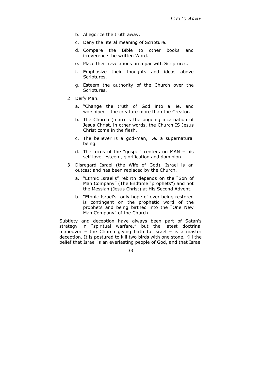- b. Allegorize the truth away.
- c. Deny the literal meaning of Scripture.
- d. Compare the Bible to other books and irreverence the written Word.
- e. Place their revelations on a par with Scriptures.
- f. Emphasize their thoughts and ideas above Scriptures.
- g. Esteem the authority of the Church over the Scriptures.
- 2. Deify Man.
	- a. "Change the truth of God into a lie, and worshiped… the creature more than the Creator."
	- b. The Church (man) is the ongoing incarnation of Jesus Christ, in other words, the Church IS Jesus Christ come in the flesh.
	- c. The believer is a god-man, i.e. a supernatural being.
	- d. The focus of the "gospel" centers on MAN his self love, esteem, glorification and dominion.
- 3. Disregard Israel (the Wife of God). Israel is an outcast and has been replaced by the Church.
	- a. "Ethnic Israel's" rebirth depends on the "Son of Man Company" (The Endtime "prophets") and not the Messiah (Jesus Christ) at His Second Advent.
	- b. "Ethnic Israel's" only hope of ever being restored is contingent on the prophetic word of the prophets and being birthed into the "One New Man Company" of the Church.

Subtlety and deception have always been part of Satan's strategy in "spiritual warfare," but the latest doctrinal maneuver – the Church giving birth to Israel – is a master deception. It is postured to kill two birds with one stone. Kill the belief that Israel is an everlasting people of God, and that Israel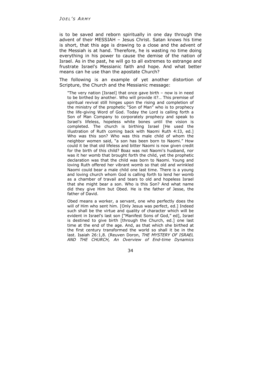is to be saved and reborn spiritually in one day through the advent of their MESSIAH – Jesus Christ. Satan knows his time is short, that this age is drawing to a close and the advent of the Messiah is at hand. Therefore, he is wasting no time doing everything in his power to cause the demise of the nation of Israel. As in the past, he will go to all extremes to estrange and frustrate Israel's Messianic faith and hope. And what better means can he use than the apostate Church?

The following is an example of yet another distortion of Scripture, the Church and the Messianic message:

"The very nation [Israel] that once gave birth – now is in need to be birthed by another. Who will provide it?… This premise of spiritual revival still hinges upon the rising and completion of the ministry of the prophetic "Son of Man" who is to prophecy the life-giving Word of God. Today the Lord is calling forth a Son of Man Company to corporately prophecy and speak to Israel's lifeless, hopeless white bones until the vision is completed. The church is birthing Israel [He used the illustration of Ruth coming back with Naomi Ruth 4:I3, ed.] Who was this son? Who was this male child of whom the neighbor women said, "a son has been born to Naomi." How could it be that old lifeless and bitter Naomi is now given credit for the birth of this child? Boaz was not Naomi's husband, nor was it her womb that brought forth the child, yet the prophetic declaration was that the child was born to Naomi. Young and loving Ruth offered her vibrant womb so that old and wrinkled Naomi could bear a male child one last time. There is a young and loving church whom God is calling forth to lend her womb as a chamber of travail and tears to old and hopeless Israel that she might bear a son. Who is this Son? And what name did they give Him but Obed. He is the father of Jesse, the father of David.

Obed means a worker, a servant, one who perfectly does the will of Him who sent him. [Only Jesus was perfect, ed.] Indeed such shall be the virtue and quality of character which will be evident in Israel's last son ["Manifest Sons of God," ed], Israel is destined to give birth [through the Church, ed.] one last time at the end of the age. And, as that which she birthed at the first century transformed the world so shall it be in the last. Isaiah 26:1,8. (Reuven Doron, *THE MYSTERY OF ISRAEL AND THE CHURCH, An Overview of End-time Dynamics*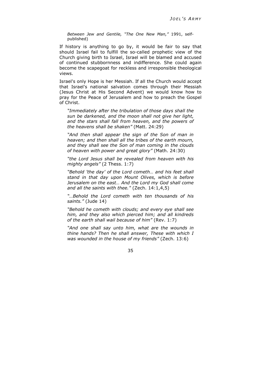*Between Jew and Gentile, "The One New Man,"* 1991, selfpublished)

If history is anything to go by, it would be fair to say that should Israel fail to fulfill the so-called prophetic view of the Church giving birth to Israel, Israel will be blamed and accused of continued stubbornness and indifference. She could again become the scapegoat for reckless and irresponsible theological views.

Israel's only Hope is her Messiah. If all the Church would accept that Israel's national salvation comes through their Messiah (Jesus Christ at His Second Advent) we would know how to pray for the Peace of Jerusalem and how to preach the Gospel of Christ.

*"Immediately after the tribulation of those days shall the sun be darkened, and the moon shall not give her light, and the stars shall fall from heaven, and the powers of the heavens shall be shaken"* (Matt. 24:29)

*"And then shall appear the sign of the Son of man in heaven; and then shall all the tribes of the earth mourn, and they shall see the Son of man coming in the clouds of heaven with power and great glory"* (Math. 24:30)

*"the Lord Jesus shall be revealed from heaven with his mighty angels"* (2 Thess. 1:7)

*"Behold 'the day' of the Lord cometh… and his feet shall stand in that day upon Mount Olives, which is before Jerusalem on the east… And the Lord my God shall come and all the saints with thee."* (Zech. 14:1,4,5)

*"…Behold the Lord cometh with ten thousands of his saints."* (Jude 14)

*"Behold he cometh with clouds; and every eye shall see him, and they also which pierced him; and all kindreds of the earth shall wail because of him"* (Rev. 1:7)

*"And one shall say unto him, what are the wounds in thine hands? Then he shall answer, These with which I was wounded in the house of my friends"* (Zech. 13:6)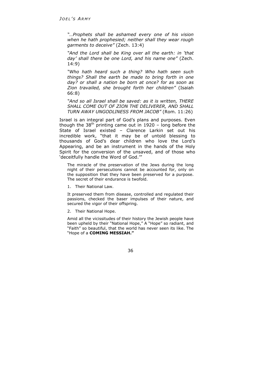*"…Prophets shall be ashamed every one of his vision when he hath prophesied; neither shall they wear rough garments to deceive"* (Zech. 13:4)

*"And the Lord shall be King over all the earth: in 'that day' shall there be one Lord, and his name one"* (Zech. 14:9)

*"Who hath heard such a thing? Who hath seen such things? Shall the earth be made to bring forth in one day? or shall a nation be born at once? for as soon as Zion travailed, she brought forth her children"* (Isaiah 66:8)

*"And so all Israel shall be saved: as it is written, THERE SHALL COME OUT OF ZION THE DELIVERER, AND SHALL TURN AWAY UNGODLINESS FROM JACOB"* (Rom. 11:26)

Israel is an integral part of God's plans and purposes. Even though the  $38<sup>th</sup>$  printing came out in 1920 – long before the State of Israel existed – Clarence Larkin set out his incredible work, "that it may be of untold blessing to thousands of God's dear children who love the Lord's Appearing, and be an instrument in the hands of the Holy Spirit for the conversion of the unsaved, and of those who 'deceitfully handle the Word of God.'"

The miracle of the preservation of the Jews during the long night of their persecutions cannot be accounted for, only on the supposition that they have been preserved for a purpose. The secret of their endurance is twofold.

1. Their National Law.

It preserved them from disease, controlled and regulated their passions, checked the baser impulses of their nature, and secured the vigor of their offspring.

2. Their National Hope.

Amid all the vicissitudes of their history the Jewish people have been upheld by their "National Hope," A "Hope" so radiant, and "Faith" so beautiful, that the world has never seen its like. The "Hope of a **COMING MESSIAH."**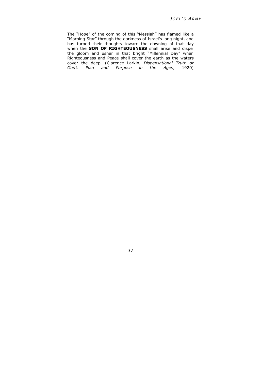The "Hope" of the coming of this "Messiah" has flamed like a "Morning Star" through the darkness of Israel's long night, and has turned their thoughts toward the dawning of that day when the **SON OF RIGHTEOUSNESS** shall arise and dispel the gloom and usher in that bright "Millennial Day" when Righteousness and Peace shall cover the earth as the waters cover the deep. (Clarence Larkin, *Dispensational Truth or God's Plan and Purpose in the Ages*, 1920)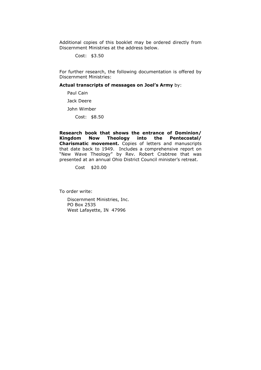Additional copies of this booklet may be ordered directly from Discernment Ministries at the address below.

Cost: \$3.50

For further research, the following documentation is offered by Discernment Ministries:

**Actual transcripts of messages on Joel's Army** by:

Paul Cain Jack Deere John Wimber Cost: \$8.50

**Research book that shows the entrance of Dominion/ Kingdom Now Theology into the Pentecostal/ Charismatic movement.** Copies of letters and manuscripts that date back to 1949. Includes a comprehensive report on "New Wave Theology" by Rev. Robert Crabtree that was presented at an annual Ohio District Council minister's retreat.

Cost \$20.00

To order write:

Discernment Ministries, Inc. PO Box 2535 West Lafayette, IN 47996